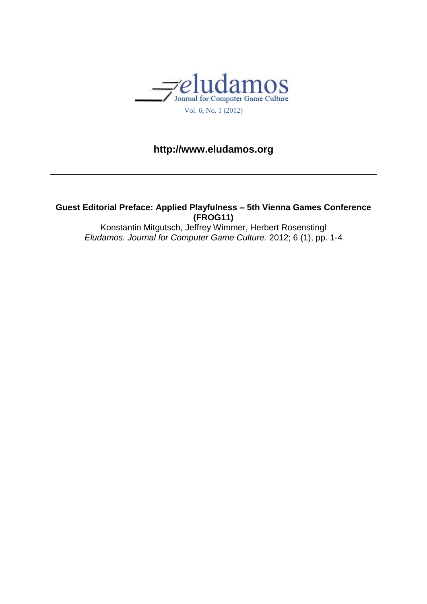

## **http://www.eludamos.org**

**Guest Editorial Preface: Applied Playfulness – 5th Vienna Games Conference (FROG11)** Konstantin Mitgutsch, Jeffrey Wimmer, Herbert Rosenstingl

*Eludamos. Journal for Computer Game Culture.* 2012; 6 (1), pp. 1-4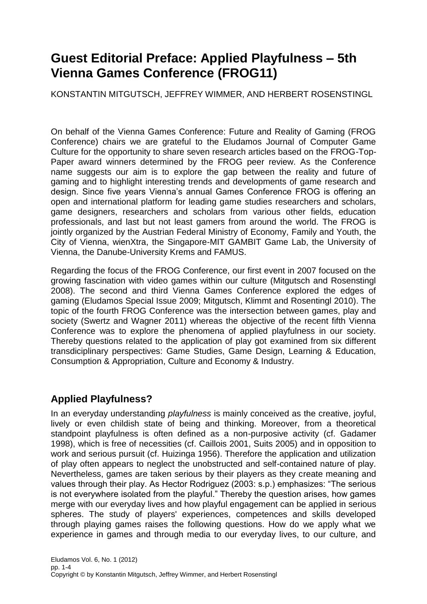## **Guest Editorial Preface: Applied Playfulness – 5th Vienna Games Conference (FROG11)**

KONSTANTIN MITGUTSCH, JEFFREY WIMMER, AND HERBERT ROSENSTINGL

On behalf of the Vienna Games Conference: Future and Reality of Gaming (FROG Conference) chairs we are grateful to the Eludamos Journal of Computer Game Culture for the opportunity to share seven research articles based on the FROG-Top-Paper award winners determined by the FROG peer review. As the Conference name suggests our aim is to explore the gap between the reality and future of gaming and to highlight interesting trends and developments of game research and design. Since five years Vienna's annual Games Conference FROG is offering an open and international platform for leading game studies researchers and scholars, game designers, researchers and scholars from various other fields, education professionals, and last but not least gamers from around the world. The FROG is jointly organized by the Austrian Federal Ministry of Economy, Family and Youth, the City of Vienna, wienXtra, the Singapore-MIT GAMBIT Game Lab, the University of Vienna, the Danube-University Krems and FAMUS.

Regarding the focus of the FROG Conference, our first event in 2007 focused on the growing fascination with video games within our culture (Mitgutsch and Rosenstingl 2008). The second and third Vienna Games Conference explored the edges of gaming (Eludamos Special Issue 2009; Mitgutsch, Klimmt and Rosentingl 2010). The topic of the fourth FROG Conference was the intersection between games, play and society (Swertz and Wagner 2011) whereas the objective of the recent fifth Vienna Conference was to explore the phenomena of applied playfulness in our society. Thereby questions related to the application of play got examined from six different transdiciplinary perspectives: Game Studies, Game Design, Learning & Education, Consumption & Appropriation, Culture and Economy & Industry.

## **Applied Playfulness?**

In an everyday understanding *playfulness* is mainly conceived as the creative, joyful, lively or even childish state of being and thinking. Moreover, from a theoretical standpoint playfulness is often defined as a non-purposive activity (cf. Gadamer 1998), which is free of necessities (cf. Caillois 2001, Suits 2005) and in opposition to work and serious pursuit (cf. Huizinga 1956). Therefore the application and utilization of play often appears to neglect the unobstructed and self-contained nature of play. Nevertheless, games are taken serious by their players as they create meaning and values through their play. As Hector Rodriguez (2003: s.p.) emphasizes: "The serious is not everywhere isolated from the playful." Thereby the question arises, how games merge with our everyday lives and how playful engagement can be applied in serious spheres. The study of players' experiences, competences and skills developed through playing games raises the following questions. How do we apply what we experience in games and through media to our everyday lives, to our culture, and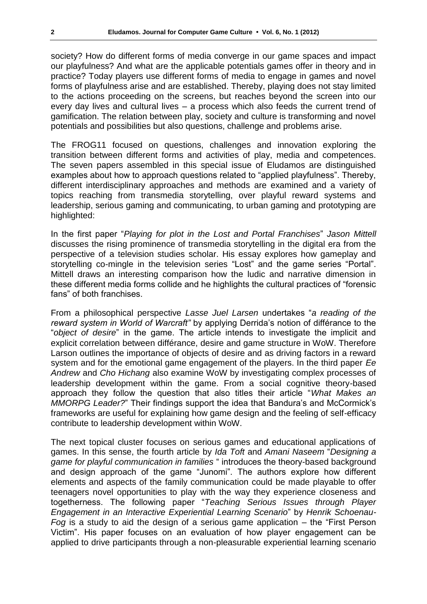society? How do different forms of media converge in our game spaces and impact our playfulness? And what are the applicable potentials games offer in theory and in practice? Today players use different forms of media to engage in games and novel forms of playfulness arise and are established. Thereby, playing does not stay limited to the actions proceeding on the screens, but reaches beyond the screen into our every day lives and cultural lives – a process which also feeds the current trend of gamification. The relation between play, society and culture is transforming and novel potentials and possibilities but also questions, challenge and problems arise.

The FROG11 focused on questions, challenges and innovation exploring the transition between different forms and activities of play, media and competences. The seven papers assembled in this special issue of Eludamos are distinguished examples about how to approach questions related to "applied playfulness". Thereby, different interdisciplinary approaches and methods are examined and a variety of topics reaching from transmedia storytelling, over playful reward systems and leadership, serious gaming and communicating, to urban gaming and prototyping are highlighted:

In the first paper "*Playing for plot in the Lost and Portal Franchises*" *Jason Mittell* discusses the rising prominence of transmedia storytelling in the digital era from the perspective of a television studies scholar. His essay explores how gameplay and storytelling co-mingle in the television series "Lost" and the game series "Portal". Mittell draws an interesting comparison how the ludic and narrative dimension in these different media forms collide and he highlights the cultural practices of "forensic fans" of both franchises.

From a philosophical perspective *Lasse Juel Larsen* undertakes "*a reading of the reward system in World of Warcraft"* by applying Derrida's notion of différance to the "*object of desire*" in the game. The article intends to investigate the implicit and explicit correlation between différance, desire and game structure in WoW. Therefore Larson outlines the importance of objects of desire and as driving factors in a reward system and for the emotional game engagement of the players. In the third paper *Ee Andrew* and *Cho Hichang* also examine WoW by investigating complex processes of leadership development within the game. From a social cognitive theory-based approach they follow the question that also titles their article "*What Makes an MMORPG Leader?*" Their findings support the idea that Bandura's and McCormick's frameworks are useful for explaining how game design and the feeling of self-efficacy contribute to leadership development within WoW.

The next topical cluster focuses on serious games and educational applications of games. In this sense, the fourth article by *Ida Toft* and *Amani Naseem* "*Designing a game for playful communication in families* " introduces the theory-based background and design approach of the game "Junomi". The authors explore how different elements and aspects of the family communication could be made playable to offer teenagers novel opportunities to play with the way they experience closeness and togetherness. The following paper "*Teaching Serious Issues through Player Engagement in an Interactive Experiential Learning Scenario*" by *Henrik Schoenau-Fog* is a study to aid the design of a serious game application – the "First Person Victim". His paper focuses on an evaluation of how player engagement can be applied to drive participants through a non-pleasurable experiential learning scenario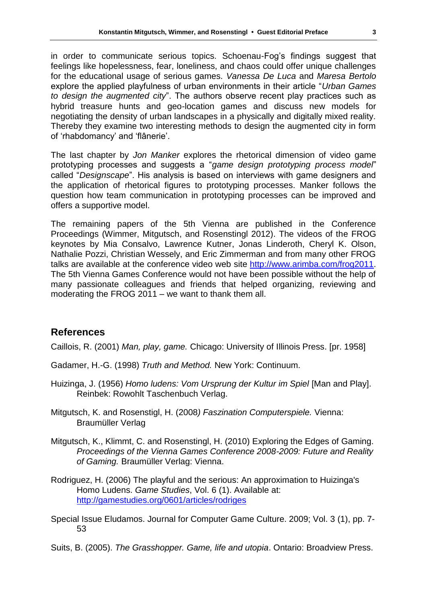in order to communicate serious topics. Schoenau-Fog's findings suggest that feelings like hopelessness, fear, loneliness, and chaos could offer unique challenges for the educational usage of serious games. *Vanessa De Luca* and *Maresa Bertolo* explore the applied playfulness of urban environments in their article "*Urban Games to design the augmented city*". The authors observe recent play practices such as hybrid treasure hunts and geo-location games and discuss new models for negotiating the density of urban landscapes in a physically and digitally mixed reality. Thereby they examine two interesting methods to design the augmented city in form of 'rhabdomancy' and 'flânerie'.

The last chapter by *Jon Manker* explores the rhetorical dimension of video game prototyping processes and suggests a "*game design prototyping process model*" called "*Designscape*". His analysis is based on interviews with game designers and the application of rhetorical figures to prototyping processes. Manker follows the question how team communication in prototyping processes can be improved and offers a supportive model.

The remaining papers of the 5th Vienna are published in the Conference Proceedings (Wimmer, Mitgutsch, and Rosenstingl 2012). The videos of the FROG keynotes by Mia Consalvo, Lawrence Kutner, Jonas Linderoth, Cheryl K. Olson, Nathalie Pozzi, Christian Wessely, and Eric Zimmerman and from many other FROG talks are available at the conference video web site [http://www.arimba.com/frog2011.](http://www.arimba.com/frog2011) The 5th Vienna Games Conference would not have been possible without the help of many passionate colleagues and friends that helped organizing, reviewing and moderating the FROG 2011 – we want to thank them all.

## **References**

Caillois, R. (2001) *Man, play, game.* Chicago: [University of Illinois Press.](http://books.google.at/books?q=inpublisher:%22University+of+Illinois+Press%22&source=gbs_summary_r) [pr. 1958]

- Gadamer, H.-G. (1998) *Truth and Method.* New York: Continuum.
- Huizinga, J. (1956) *Homo ludens: Vom Ursprung der Kultur im Spiel* [Man and Play]. Reinbek: Rowohlt Taschenbuch Verlag.

Mitgutsch, K. and Rosenstigl, H. (2008*) Faszination Computerspiele.* Vienna: Braumüller Verlag

- Mitgutsch, K., Klimmt, C. and Rosenstingl, H. (2010) Exploring the Edges of Gaming. *Proceedings of the Vienna Games Conference 2008-2009: Future and Reality of Gaming.* Braumüller Verlag: Vienna.
- Rodriguez, H. (2006) The playful and the serious: An approximation to Huizinga's Homo Ludens. *Game Studies*, Vol. 6 (1). Available at: <http://gamestudies.org/0601/articles/rodriges>
- Special Issue Eludamos. Journal for Computer Game Culture. 2009; Vol. 3 (1), pp. 7- 53
- Suits, B. (2005). *The Grasshopper. Game, life and utopia*. Ontario: Broadview Press.